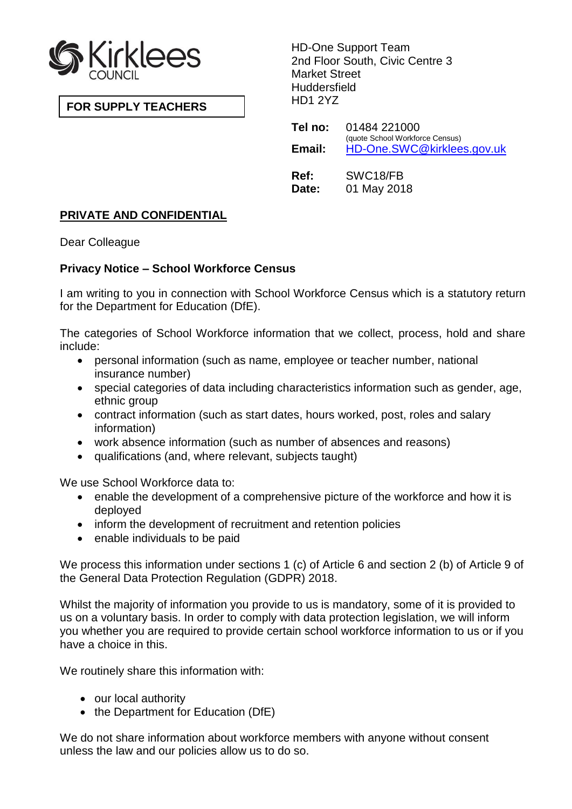

**FOR SUPPLY TEACHERS**

HD-One Support Team 2nd Floor South, Civic Centre 3 Market Street **Huddersfield** HD1 2YZ

**Tel no:** 01484 221000 (quote School Workforce Census) **Email:** [HD-One.SWC@kirklees.gov.uk](mailto:HD-One.SWC@kirklees.gov.uk) **Ref:** SWC18/FB **Date:** 01 May 2018

# **PRIVATE AND CONFIDENTIAL**

Dear Colleague

## **Privacy Notice – School Workforce Census**

I am writing to you in connection with School Workforce Census which is a statutory return for the Department for Education (DfE).

The categories of School Workforce information that we collect, process, hold and share include:

- personal information (such as name, employee or teacher number, national insurance number)
- special categories of data including characteristics information such as gender, age, ethnic group
- contract information (such as start dates, hours worked, post, roles and salary information)
- work absence information (such as number of absences and reasons)
- qualifications (and, where relevant, subjects taught)

We use School Workforce data to:

- enable the development of a comprehensive picture of the workforce and how it is deployed
- inform the development of recruitment and retention policies
- enable individuals to be paid

We process this information under sections 1 (c) of Article 6 and section 2 (b) of Article 9 of the General Data Protection Regulation (GDPR) 2018.

Whilst the majority of information you provide to us is mandatory, some of it is provided to us on a voluntary basis. In order to comply with data protection legislation, we will inform you whether you are required to provide certain school workforce information to us or if you have a choice in this.

We routinely share this information with:

- our local authority
- the Department for Education (DfE)

We do not share information about workforce members with anyone without consent unless the law and our policies allow us to do so.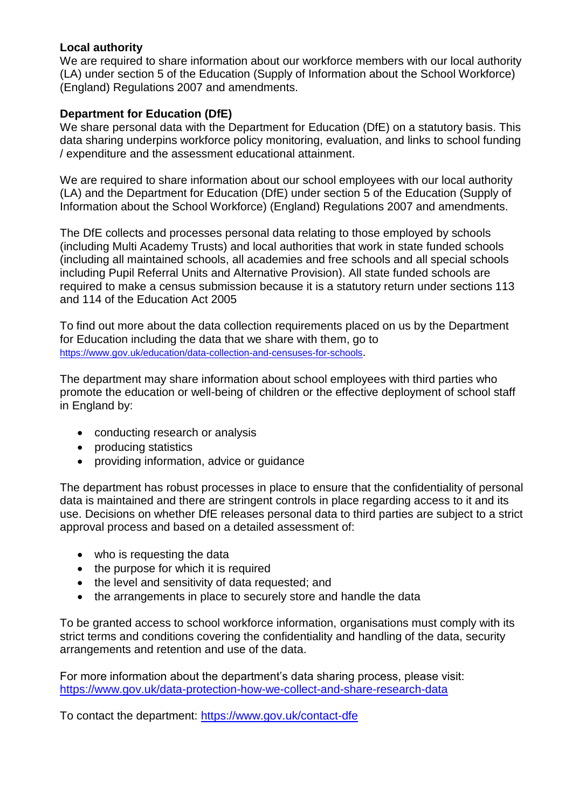#### **Local authority**

We are required to share information about our workforce members with our local authority (LA) under section 5 of the Education (Supply of Information about the School Workforce) (England) Regulations 2007 and amendments.

## **Department for Education (DfE)**

We share personal data with the Department for Education (DfE) on a statutory basis. This data sharing underpins workforce policy monitoring, evaluation, and links to school funding / expenditure and the assessment educational attainment.

We are required to share information about our school employees with our local authority (LA) and the Department for Education (DfE) under section 5 of the Education (Supply of Information about the School Workforce) (England) Regulations 2007 and amendments.

The DfE collects and processes personal data relating to those employed by schools (including Multi Academy Trusts) and local authorities that work in state funded schools (including all maintained schools, all academies and free schools and all special schools including Pupil Referral Units and Alternative Provision). All state funded schools are required to make a census submission because it is a statutory return under sections 113 and 114 of the Education Act 2005

To find out more about the data collection requirements placed on us by the Department for Education including the data that we share with them, go to <https://www.gov.uk/education/data-collection-and-censuses-for-schools>.

The department may share information about school employees with third parties who promote the education or well-being of children or the effective deployment of school staff in England by:

- conducting research or analysis
- producing statistics
- providing information, advice or quidance

The department has robust processes in place to ensure that the confidentiality of personal data is maintained and there are stringent controls in place regarding access to it and its use. Decisions on whether DfE releases personal data to third parties are subject to a strict approval process and based on a detailed assessment of:

- who is requesting the data
- the purpose for which it is required
- the level and sensitivity of data requested; and
- the arrangements in place to securely store and handle the data

To be granted access to school workforce information, organisations must comply with its strict terms and conditions covering the confidentiality and handling of the data, security arrangements and retention and use of the data.

For more information about the department's data sharing process, please visit: <https://www.gov.uk/data-protection-how-we-collect-and-share-research-data>

To contact the department: <https://www.gov.uk/contact-dfe>